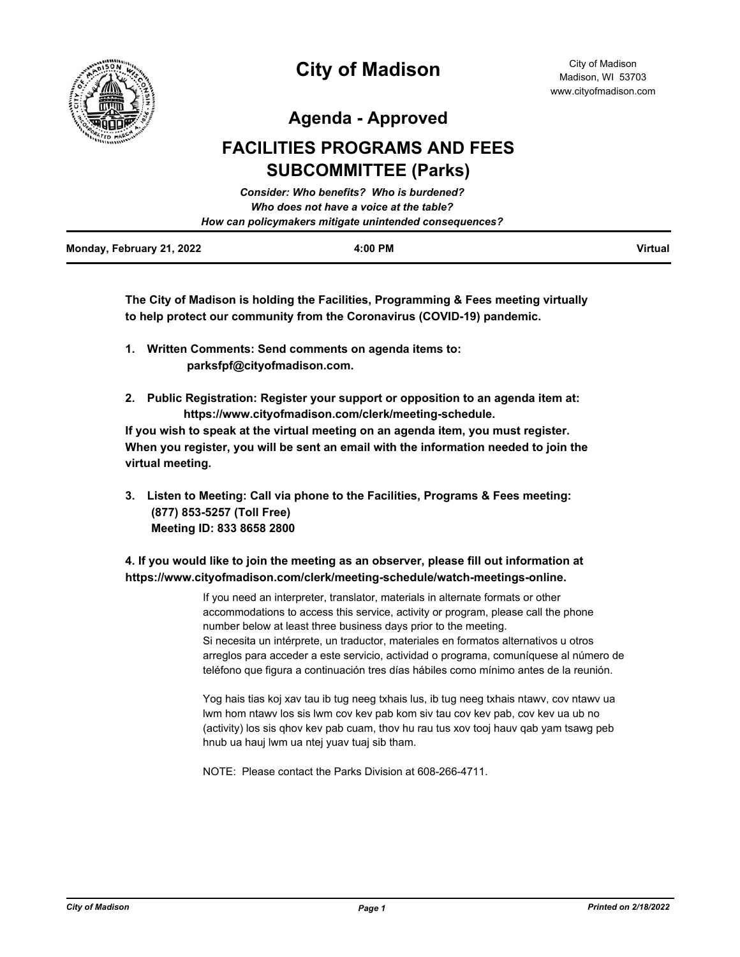

**Agenda - Approved**

# **FACILITIES PROGRAMS AND FEES SUBCOMMITTEE (Parks)**

|                           | Consider: Who benefits? Who is burdened?               |         |
|---------------------------|--------------------------------------------------------|---------|
|                           | Who does not have a voice at the table?                |         |
|                           | How can policymakers mitigate unintended consequences? |         |
| Monday, February 21, 2022 | 4:00 PM                                                | Virtual |

**The City of Madison is holding the Facilities, Programming & Fees meeting virtually to help protect our community from the Coronavirus (COVID-19) pandemic.**

- **1. Written Comments: Send comments on agenda items to: parksfpf@cityofmadison.com.**
- **2. Public Registration: Register your support or opposition to an agenda item at: https://www.cityofmadison.com/clerk/meeting-schedule.**

**If you wish to speak at the virtual meeting on an agenda item, you must register. When you register, you will be sent an email with the information needed to join the virtual meeting.**

**3. Listen to Meeting: Call via phone to the Facilities, Programs & Fees meeting: (877) 853-5257 (Toll Free) Meeting ID: 833 8658 2800** 

## **4. If you would like to join the meeting as an observer, please fill out information at https://www.cityofmadison.com/clerk/meeting-schedule/watch-meetings-online.**

If you need an interpreter, translator, materials in alternate formats or other accommodations to access this service, activity or program, please call the phone number below at least three business days prior to the meeting. Si necesita un intérprete, un traductor, materiales en formatos alternativos u otros arreglos para acceder a este servicio, actividad o programa, comuníquese al número de teléfono que figura a continuación tres días hábiles como mínimo antes de la reunión.

Yog hais tias koj xav tau ib tug neeg txhais lus, ib tug neeg txhais ntawv, cov ntawv ua lwm hom ntawv los sis lwm cov kev pab kom siv tau cov kev pab, cov kev ua ub no (activity) los sis qhov kev pab cuam, thov hu rau tus xov tooj hauv qab yam tsawg peb hnub ua hauj lwm ua ntej yuav tuaj sib tham.

NOTE: Please contact the Parks Division at 608-266-4711.